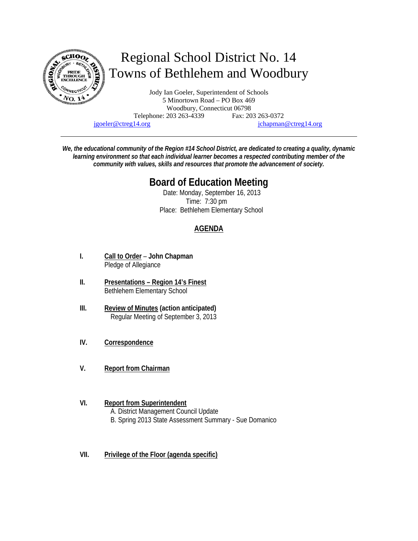

jgoeler@ctreg14.org jchapman@ctreg14.org

*We, the educational community of the Region #14 School District, are dedicated to creating a quality, dynamic learning environment so that each individual learner becomes a respected contributing member of the community with values, skills and resources that promote the advancement of society.* 

# **Board of Education Meeting**

 Date: Monday, September 16, 2013 Time: 7:30 pm Place: Bethlehem Elementary School

# **AGENDA**

- **I. Call to Order John Chapman** Pledge of Allegiance
- **II. Presentations Region 14's Finest** Bethlehem Elementary School
- **III. Review of Minutes (action anticipated)** Regular Meeting of September 3, 2013
- **IV. Correspondence**
- **V. Report from Chairman**
- **VI. Report from Superintendent**  A. District Management Council Update B. Spring 2013 State Assessment Summary - Sue Domanico
- **VII. Privilege of the Floor (agenda specific)**